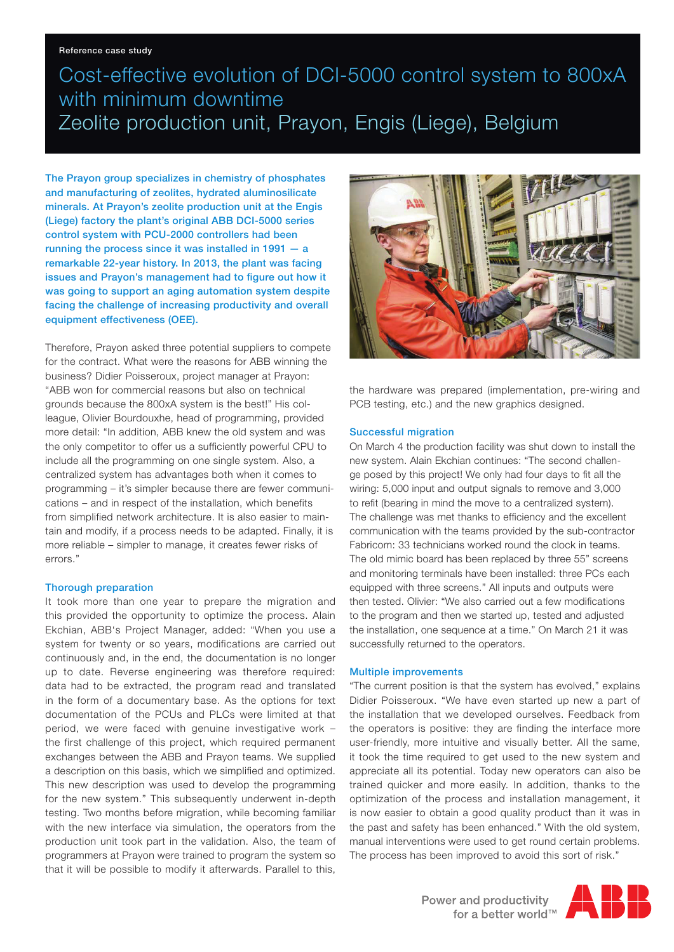#### Reference case study

### Cost-effective evolution of DCI-5000 control system to 800xA with minimum downtime Zeolite production unit, Prayon, Engis (Liege), Belgium

The Prayon group specializes in chemistry of phosphates and manufacturing of zeolites, hydrated aluminosilicate minerals. At Prayon's zeolite production unit at the Engis (Liege) factory the plant's original ABB DCI-5000 series control system with PCU-2000 controllers had been running the process since it was installed in 1991 — a remarkable 22-year history. In 2013, the plant was facing issues and Prayon's management had to figure out how it was going to support an aging automation system despite facing the challenge of increasing productivity and overall equipment effectiveness (OEE).

Therefore, Prayon asked three potential suppliers to compete for the contract. What were the reasons for ABB winning the business? Didier Poisseroux, project manager at Prayon: "ABB won for commercial reasons but also on technical grounds because the 800xA system is the best!" His colleague, Olivier Bourdouxhe, head of programming, provided more detail: "In addition, ABB knew the old system and was the only competitor to offer us a sufficiently powerful CPU to include all the programming on one single system. Also, a centralized system has advantages both when it comes to programming – it's simpler because there are fewer communications – and in respect of the installation, which benefits from simplified network architecture. It is also easier to maintain and modify, if a process needs to be adapted. Finally, it is more reliable – simpler to manage, it creates fewer risks of errors."

### Thorough preparation

It took more than one year to prepare the migration and this provided the opportunity to optimize the process. Alain Ekchian, ABB's Project Manager, added: "When you use a system for twenty or so years, modifications are carried out continuously and, in the end, the documentation is no longer up to date. Reverse engineering was therefore required: data had to be extracted, the program read and translated in the form of a documentary base. As the options for text documentation of the PCUs and PLCs were limited at that period, we were faced with genuine investigative work – the first challenge of this project, which required permanent exchanges between the ABB and Prayon teams. We supplied a description on this basis, which we simplified and optimized. This new description was used to develop the programming for the new system." This subsequently underwent in-depth testing. Two months before migration, while becoming familiar with the new interface via simulation, the operators from the production unit took part in the validation. Also, the team of programmers at Prayon were trained to program the system so that it will be possible to modify it afterwards. Parallel to this,



the hardware was prepared (implementation, pre-wiring and PCB testing, etc.) and the new graphics designed.

### Successful migration

On March 4 the production facility was shut down to install the new system. Alain Ekchian continues: "The second challenge posed by this project! We only had four days to fit all the wiring: 5,000 input and output signals to remove and 3,000 to refit (bearing in mind the move to a centralized system). The challenge was met thanks to efficiency and the excellent communication with the teams provided by the sub-contractor Fabricom: 33 technicians worked round the clock in teams. The old mimic board has been replaced by three 55" screens and monitoring terminals have been installed: three PCs each equipped with three screens." All inputs and outputs were then tested. Olivier: "We also carried out a few modifications to the program and then we started up, tested and adjusted the installation, one sequence at a time." On March 21 it was successfully returned to the operators.

### Multiple improvements

"The current position is that the system has evolved," explains Didier Poisseroux. "We have even started up new a part of the installation that we developed ourselves. Feedback from the operators is positive: they are finding the interface more user-friendly, more intuitive and visually better. All the same, it took the time required to get used to the new system and appreciate all its potential. Today new operators can also be trained quicker and more easily. In addition, thanks to the optimization of the process and installation management, it is now easier to obtain a good quality product than it was in the past and safety has been enhanced." With the old system, manual interventions were used to get round certain problems. The process has been improved to avoid this sort of risk."